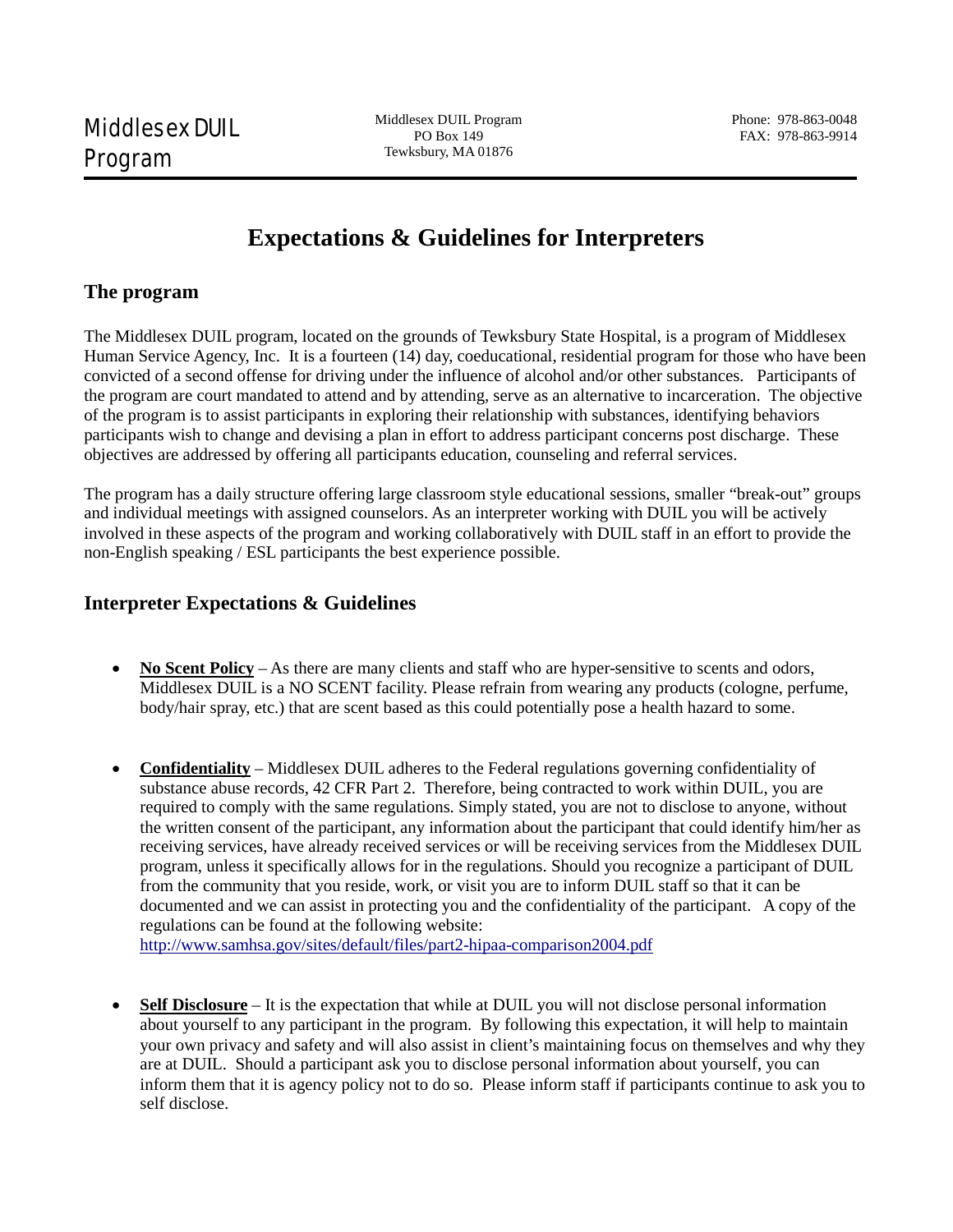Middlesex DUIL Program PO Box 149 Tewksbury, MA 01876

## **Expectations & Guidelines for Interpreters**

## **The program**

The Middlesex DUIL program, located on the grounds of Tewksbury State Hospital, is a program of Middlesex Human Service Agency, Inc. It is a fourteen (14) day, coeducational, residential program for those who have been convicted of a second offense for driving under the influence of alcohol and/or other substances. Participants of the program are court mandated to attend and by attending, serve as an alternative to incarceration. The objective of the program is to assist participants in exploring their relationship with substances, identifying behaviors participants wish to change and devising a plan in effort to address participant concerns post discharge. These objectives are addressed by offering all participants education, counseling and referral services.

The program has a daily structure offering large classroom style educational sessions, smaller "break-out" groups and individual meetings with assigned counselors. As an interpreter working with DUIL you will be actively involved in these aspects of the program and working collaboratively with DUIL staff in an effort to provide the non-English speaking / ESL participants the best experience possible.

## **Interpreter Expectations & Guidelines**

- **No Scent Policy** As there are many clients and staff who are hyper-sensitive to scents and odors, Middlesex DUIL is a NO SCENT facility. Please refrain from wearing any products (cologne, perfume, body/hair spray, etc.) that are scent based as this could potentially pose a health hazard to some.
- **Confidentiality** Middlesex DUIL adheres to the Federal regulations governing confidentiality of substance abuse records, 42 CFR Part 2. Therefore, being contracted to work within DUIL, you are required to comply with the same regulations. Simply stated, you are not to disclose to anyone, without the written consent of the participant, any information about the participant that could identify him/her as receiving services, have already received services or will be receiving services from the Middlesex DUIL program, unless it specifically allows for in the regulations. Should you recognize a participant of DUIL from the community that you reside, work, or visit you are to inform DUIL staff so that it can be documented and we can assist in protecting you and the confidentiality of the participant. A copy of the regulations can be found at the following website:

<http://www.samhsa.gov/sites/default/files/part2-hipaa-comparison2004.pdf>

**Self Disclosure** – It is the expectation that while at DUIL you will not disclose personal information about yourself to any participant in the program. By following this expectation, it will help to maintain your own privacy and safety and will also assist in client's maintaining focus on themselves and why they are at DUIL. Should a participant ask you to disclose personal information about yourself, you can inform them that it is agency policy not to do so. Please inform staff if participants continue to ask you to self disclose.